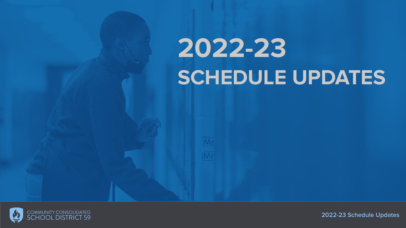# **2022-23 SCHEDULE UPDATES**

Mr

Mr



**2022-23 Schedule Updates**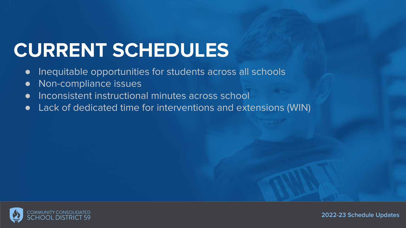### **CURRENT SCHEDULES**

- Inequitable opportunities for students across all schools
- Non-compliance issues
- Inconsistent instructional minutes across school
- Lack of dedicated time for interventions and extensions (WIN)

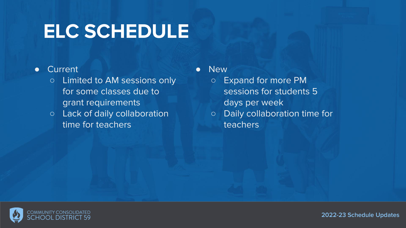### **ELC SCHEDULE**

#### ● Current

- Limited to AM sessions only for some classes due to grant requirements
- Lack of daily collaboration time for teachers

● New

- Expand for more PM sessions for students 5 days per week
- Daily collaboration time for teachers

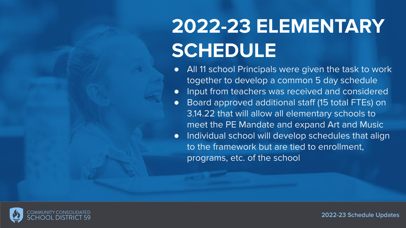## **2022-23 ELEMENTARY SCHEDULE**

- All 11 school Principals were given the task to work together to develop a common 5 day schedule
- Input from teachers was received and considered
- Board approved additional staff (15 total FTEs) on 3.14.22 that will allow all elementary schools to meet the PE Mandate and expand Art and Music
- Individual school will develop schedules that align to the framework but are tied to enrollment, programs, etc. of the school

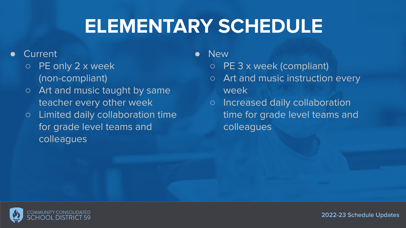#### **ELEMENTARY SCHEDULE**

#### **Current**

- PE only 2 x week (non-compliant)
- o Art and music taught by same teacher every other week
- Limited daily collaboration time for grade level teams and colleagues
- **New** 
	- PE 3 x week (compliant)
	- Art and music instruction every week
	- Increased daily collaboration time for grade level teams and colleagues

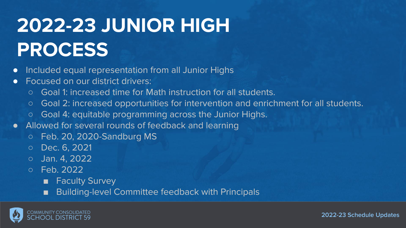# **2022-23 JUNIOR HIGH PROCESS**

- Included equal representation from all Junior Highs
- Focused on our district drivers:
	- Goal 1: increased time for Math instruction for all students.
	- Goal 2: increased opportunities for intervention and enrichment for all students.
	- Goal 4: equitable programming across the Junior Highs.
- Allowed for several rounds of feedback and learning
	- Feb. 20, 2020-Sandburg MS
	- Dec. 6, 2021
	- Jan. 4, 2022
	- Feb. 2022
		- Faculty Survey
		- Building-level Committee feedback with Principals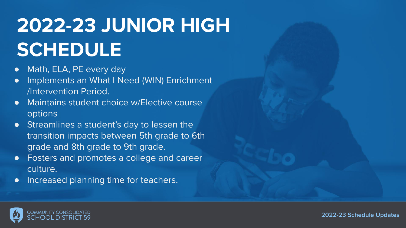# **2022-23 JUNIOR HIGH SCHEDULE**

- Math, ELA, PE every day
- **•** Implements an What I Need (WIN) Enrichment /Intervention Period.
- Maintains student choice w/Elective course options
- Streamlines a student's day to lessen the transition impacts between 5th grade to 6th grade and 8th grade to 9th grade.
- Fosters and promotes a college and career culture.
- Increased planning time for teachers.